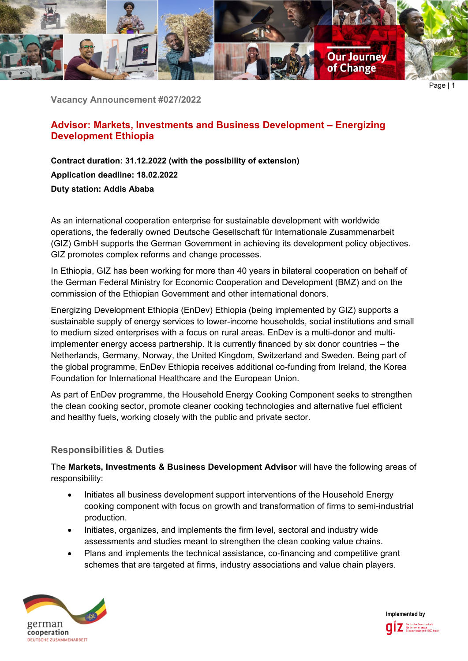

**Vacancy Announcement #027/2022**

# **Advisor: Markets, Investments and Business Development – Energizing Development Ethiopia**

**Contract duration: 31.12.2022 (with the possibility of extension) Application deadline: 18.02.2022 Duty station: Addis Ababa**

As an international cooperation enterprise for sustainable development with worldwide operations, the federally owned Deutsche Gesellschaft für Internationale Zusammenarbeit (GIZ) GmbH supports the German Government in achieving its development policy objectives. GIZ promotes complex reforms and change processes.

In Ethiopia, GIZ has been working for more than 40 years in bilateral cooperation on behalf of the German Federal Ministry for Economic Cooperation and Development (BMZ) and on the commission of the Ethiopian Government and other international donors.

Energizing Development Ethiopia (EnDev) Ethiopia (being implemented by GIZ) supports a sustainable supply of energy services to lower-income households, social institutions and small to medium sized enterprises with a focus on rural areas. EnDev is a multi-donor and multiimplementer energy access partnership. It is currently financed by six donor countries – the Netherlands, Germany, Norway, the United Kingdom, Switzerland and Sweden. Being part of the global programme, EnDev Ethiopia receives additional co-funding from Ireland, the Korea Foundation for International Healthcare and the European Union.

As part of EnDev programme, the Household Energy Cooking Component seeks to strengthen the clean cooking sector, promote cleaner cooking technologies and alternative fuel efficient and healthy fuels, working closely with the public and private sector.

# **Responsibilities & Duties**

The **Markets, Investments & Business Development Advisor** will have the following areas of responsibility:

- Initiates all business development support interventions of the Household Energy cooking component with focus on growth and transformation of firms to semi-industrial production.
- Initiates, organizes, and implements the firm level, sectoral and industry wide assessments and studies meant to strengthen the clean cooking value chains.
- Plans and implements the technical assistance, co-financing and competitive grant schemes that are targeted at firms, industry associations and value chain players.



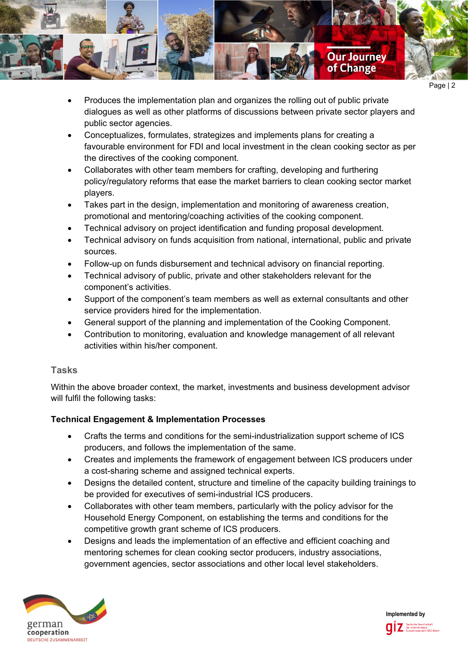

- Produces the implementation plan and organizes the rolling out of public private dialogues as well as other platforms of discussions between private sector players and public sector agencies.
- Conceptualizes, formulates, strategizes and implements plans for creating a favourable environment for FDI and local investment in the clean cooking sector as per the directives of the cooking component.
- Collaborates with other team members for crafting, developing and furthering policy/regulatory reforms that ease the market barriers to clean cooking sector market players.
- Takes part in the design, implementation and monitoring of awareness creation, promotional and mentoring/coaching activities of the cooking component.
- Technical advisory on project identification and funding proposal development.
- Technical advisory on funds acquisition from national, international, public and private sources.
- Follow-up on funds disbursement and technical advisory on financial reporting.
- Technical advisory of public, private and other stakeholders relevant for the component's activities.
- Support of the component's team members as well as external consultants and other service providers hired for the implementation.
- General support of the planning and implementation of the Cooking Component.
- Contribution to monitoring, evaluation and knowledge management of all relevant activities within his/her component.

# **Tasks**

Within the above broader context, the market, investments and business development advisor will fulfil the following tasks:

# **Technical Engagement & Implementation Processes**

- Crafts the terms and conditions for the semi-industrialization support scheme of ICS producers, and follows the implementation of the same.
- Creates and implements the framework of engagement between ICS producers under a cost-sharing scheme and assigned technical experts.
- Designs the detailed content, structure and timeline of the capacity building trainings to be provided for executives of semi-industrial ICS producers.
- Collaborates with other team members, particularly with the policy advisor for the Household Energy Component, on establishing the terms and conditions for the competitive growth grant scheme of ICS producers.
- Designs and leads the implementation of an effective and efficient coaching and mentoring schemes for clean cooking sector producers, industry associations, government agencies, sector associations and other local level stakeholders.



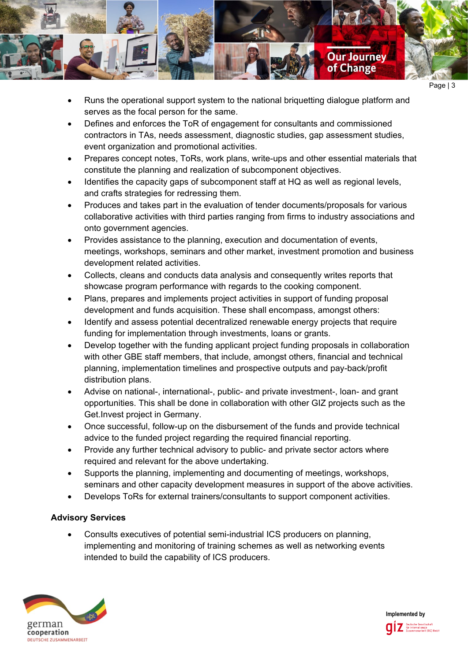

- Runs the operational support system to the national briquetting dialogue platform and serves as the focal person for the same.
- Defines and enforces the ToR of engagement for consultants and commissioned contractors in TAs, needs assessment, diagnostic studies, gap assessment studies, event organization and promotional activities.
- Prepares concept notes, ToRs, work plans, write-ups and other essential materials that constitute the planning and realization of subcomponent objectives.
- Identifies the capacity gaps of subcomponent staff at HQ as well as regional levels, and crafts strategies for redressing them.
- Produces and takes part in the evaluation of tender documents/proposals for various collaborative activities with third parties ranging from firms to industry associations and onto government agencies.
- Provides assistance to the planning, execution and documentation of events, meetings, workshops, seminars and other market, investment promotion and business development related activities.
- Collects, cleans and conducts data analysis and consequently writes reports that showcase program performance with regards to the cooking component.
- Plans, prepares and implements project activities in support of funding proposal development and funds acquisition. These shall encompass, amongst others:
- Identify and assess potential decentralized renewable energy projects that require funding for implementation through investments, loans or grants.
- Develop together with the funding applicant project funding proposals in collaboration with other GBE staff members, that include, amongst others, financial and technical planning, implementation timelines and prospective outputs and pay-back/profit distribution plans.
- Advise on national-, international-, public- and private investment-, loan- and grant opportunities. This shall be done in collaboration with other GIZ projects such as the Get.Invest project in Germany.
- Once successful, follow-up on the disbursement of the funds and provide technical advice to the funded project regarding the required financial reporting.
- Provide any further technical advisory to public- and private sector actors where required and relevant for the above undertaking.
- Supports the planning, implementing and documenting of meetings, workshops, seminars and other capacity development measures in support of the above activities.
- Develops ToRs for external trainers/consultants to support component activities.

# **Advisory Services**

• Consults executives of potential semi-industrial ICS producers on planning, implementing and monitoring of training schemes as well as networking events intended to build the capability of ICS producers.



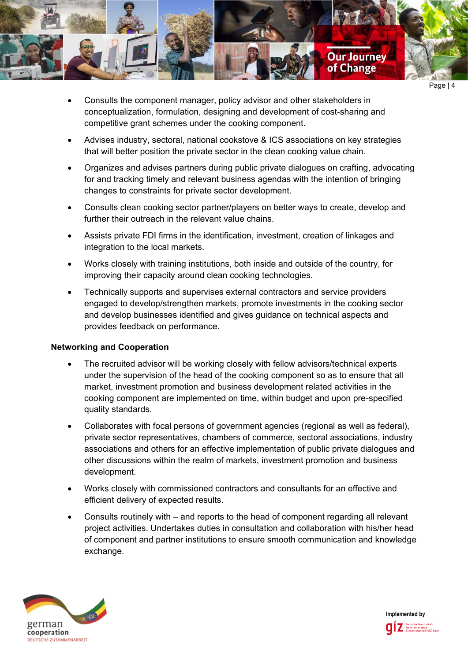

- Consults the component manager, policy advisor and other stakeholders in conceptualization, formulation, designing and development of cost-sharing and competitive grant schemes under the cooking component.
- Advises industry, sectoral, national cookstove & ICS associations on key strategies that will better position the private sector in the clean cooking value chain.
- Organizes and advises partners during public private dialogues on crafting, advocating for and tracking timely and relevant business agendas with the intention of bringing changes to constraints for private sector development.
- Consults clean cooking sector partner/players on better ways to create, develop and further their outreach in the relevant value chains.
- Assists private FDI firms in the identification, investment, creation of linkages and integration to the local markets.
- Works closely with training institutions, both inside and outside of the country, for improving their capacity around clean cooking technologies.
- Technically supports and supervises external contractors and service providers engaged to develop/strengthen markets, promote investments in the cooking sector and develop businesses identified and gives guidance on technical aspects and provides feedback on performance.

### **Networking and Cooperation**

- The recruited advisor will be working closely with fellow advisors/technical experts under the supervision of the head of the cooking component so as to ensure that all market, investment promotion and business development related activities in the cooking component are implemented on time, within budget and upon pre-specified quality standards.
- Collaborates with focal persons of government agencies (regional as well as federal), private sector representatives, chambers of commerce, sectoral associations, industry associations and others for an effective implementation of public private dialogues and other discussions within the realm of markets, investment promotion and business development.
- Works closely with commissioned contractors and consultants for an effective and efficient delivery of expected results.
- Consults routinely with and reports to the head of component regarding all relevant project activities. Undertakes duties in consultation and collaboration with his/her head of component and partner institutions to ensure smooth communication and knowledge exchange.



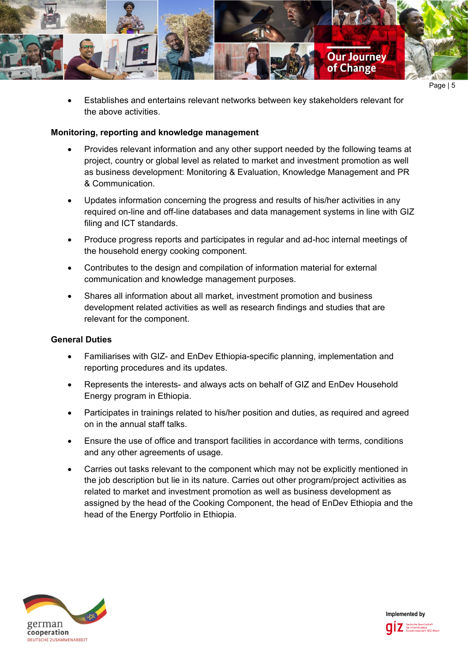

• Establishes and entertains relevant networks between key stakeholders relevant for the above activities.

#### **Monitoring, reporting and knowledge management**

- Provides relevant information and any other support needed by the following teams at project, country or global level as related to market and investment promotion as well as business development: Monitoring & Evaluation, Knowledge Management and PR & Communication.
- Updates information concerning the progress and results of his/her activities in any required on-line and off-line databases and data management systems in line with GIZ filing and ICT standards.
- Produce progress reports and participates in regular and ad-hoc internal meetings of the household energy cooking component.
- Contributes to the design and compilation of information material for external communication and knowledge management purposes.
- Shares all information about all market, investment promotion and business development related activities as well as research findings and studies that are relevant for the component.

### **General Duties**

- Familiarises with GIZ- and EnDev Ethiopia-specific planning, implementation and reporting procedures and its updates.
- Represents the interests- and always acts on behalf of GIZ and EnDev Household Energy program in Ethiopia.
- Participates in trainings related to his/her position and duties, as required and agreed on in the annual staff talks.
- Ensure the use of office and transport facilities in accordance with terms, conditions and any other agreements of usage.
- Carries out tasks relevant to the component which may not be explicitly mentioned in the job description but lie in its nature. Carries out other program/project activities as related to market and investment promotion as well as business development as assigned by the head of the Cooking Component, the head of EnDev Ethiopia and the head of the Energy Portfolio in Ethiopia.



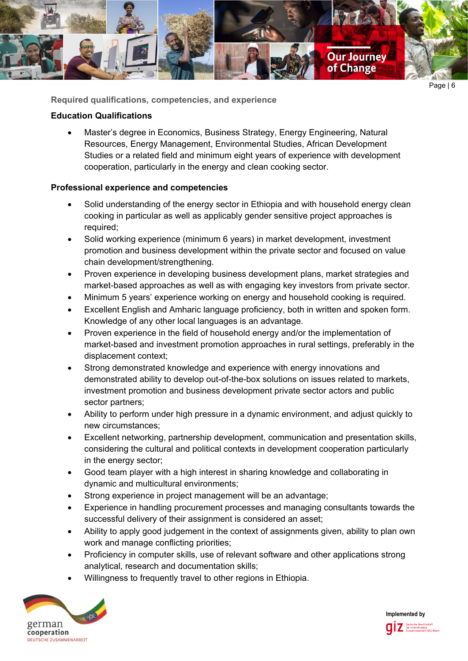

Page | 6

**Required qualifications, competencies, and experience**

### **Education Qualifications**

• Master's degree in Economics, Business Strategy, Energy Engineering, Natural Resources, Energy Management, Environmental Studies, African Development Studies or a related field and minimum eight years of experience with development cooperation, particularly in the energy and clean cooking sector.

# **Professional experience and competencies**

- Solid understanding of the energy sector in Ethiopia and with household energy clean cooking in particular as well as applicably gender sensitive project approaches is required;
- Solid working experience (minimum 6 years) in market development, investment promotion and business development within the private sector and focused on value chain development/strengthening.
- Proven experience in developing business development plans, market strategies and market-based approaches as well as with engaging key investors from private sector.
- Minimum 5 years' experience working on energy and household cooking is required.
- Excellent English and Amharic language proficiency, both in written and spoken form. Knowledge of any other local languages is an advantage.
- Proven experience in the field of household energy and/or the implementation of market-based and investment promotion approaches in rural settings, preferably in the displacement context;
- Strong demonstrated knowledge and experience with energy innovations and demonstrated ability to develop out-of-the-box solutions on issues related to markets, investment promotion and business development private sector actors and public sector partners;
- Ability to perform under high pressure in a dynamic environment, and adjust quickly to new circumstances;
- Excellent networking, partnership development, communication and presentation skills, considering the cultural and political contexts in development cooperation particularly in the energy sector;
- Good team player with a high interest in sharing knowledge and collaborating in dynamic and multicultural environments;
- Strong experience in project management will be an advantage;
- Experience in handling procurement processes and managing consultants towards the successful delivery of their assignment is considered an asset;
- Ability to apply good judgement in the context of assignments given, ability to plan own work and manage conflicting priorities;
- Proficiency in computer skills, use of relevant software and other applications strong analytical, research and documentation skills;
- Willingness to frequently travel to other regions in Ethiopia.